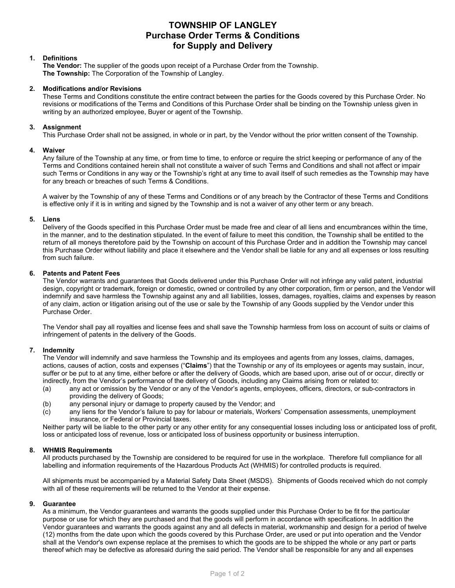# **TOWNSHIP OF LANGLEY Purchase Order Terms & Conditions for Supply and Delivery**

# **1. Definitions**

**The Vendor:** The supplier of the goods upon receipt of a Purchase Order from the Township. **The Township:** The Corporation of the Township of Langley.

## **2. Modifications and/or Revisions**

These Terms and Conditions constitute the entire contract between the parties for the Goods covered by this Purchase Order. No revisions or modifications of the Terms and Conditions of this Purchase Order shall be binding on the Township unless given in writing by an authorized employee, Buyer or agent of the Township.

# **3. Assignment**

This Purchase Order shall not be assigned, in whole or in part, by the Vendor without the prior written consent of the Township.

# **4. Waiver**

Any failure of the Township at any time, or from time to time, to enforce or require the strict keeping or performance of any of the Terms and Conditions contained herein shall not constitute a waiver of such Terms and Conditions and shall not affect or impair such Terms or Conditions in any way or the Township's right at any time to avail itself of such remedies as the Township may have for any breach or breaches of such Terms & Conditions.

A waiver by the Township of any of these Terms and Conditions or of any breach by the Contractor of these Terms and Conditions is effective only if it is in writing and signed by the Township and is not a waiver of any other term or any breach.

## **5. Liens**

Delivery of the Goods specified in this Purchase Order must be made free and clear of all liens and encumbrances within the time, in the manner, and to the destination stipulated. In the event of failure to meet this condition, the Township shall be entitled to the return of all moneys theretofore paid by the Township on account of this Purchase Order and in addition the Township may cancel this Purchase Order without liability and place it elsewhere and the Vendor shall be liable for any and all expenses or loss resulting from such failure.

# **6. Patents and Patent Fees**

The Vendor warrants and guarantees that Goods delivered under this Purchase Order will not infringe any valid patent, industrial design, copyright or trademark, foreign or domestic, owned or controlled by any other corporation, firm or person, and the Vendor will indemnify and save harmless the Township against any and all liabilities, losses, damages, royalties, claims and expenses by reason of any claim, action or litigation arising out of the use or sale by the Township of any Goods supplied by the Vendor under this Purchase Order.

The Vendor shall pay all royalties and license fees and shall save the Township harmless from loss on account of suits or claims of infringement of patents in the delivery of the Goods.

## **7. Indemnity**

The Vendor will indemnify and save harmless the Township and its employees and agents from any losses, claims, damages, actions, causes of action, costs and expenses ("**Claims**") that the Township or any of its employees or agents may sustain, incur, suffer or be put to at any time, either before or after the delivery of Goods, which are based upon, arise out of or occur, directly or indirectly, from the Vendor's performance of the delivery of Goods, including any Claims arising from or related to:

- (a) any act or omission by the Vendor or any of the Vendor's agents, employees, officers, directors, or sub-contractors in providing the delivery of Goods;
- (b) any personal injury or damage to property caused by the Vendor; and (c) any liens for the Vendor's failure to pay for labour or materials. Worker
- any liens for the Vendor's failure to pay for labour or materials, Workers' Compensation assessments, unemployment insurance, or Federal or Provincial taxes.

Neither party will be liable to the other party or any other entity for any consequential losses including loss or anticipated loss of profit, loss or anticipated loss of revenue, loss or anticipated loss of business opportunity or business interruption.

## **8. WHMIS Requirements**

All products purchased by the Township are considered to be required for use in the workplace. Therefore full compliance for all labelling and information requirements of the Hazardous Products Act (WHMIS) for controlled products is required.

All shipments must be accompanied by a Material Safety Data Sheet (MSDS). Shipments of Goods received which do not comply with all of these requirements will be returned to the Vendor at their expense.

## **9. Guarantee**

As a minimum, the Vendor guarantees and warrants the goods supplied under this Purchase Order to be fit for the particular purpose or use for which they are purchased and that the goods will perform in accordance with specifications. In addition the Vendor guarantees and warrants the goods against any and all defects in material, workmanship and design for a period of twelve (12) months from the date upon which the goods covered by this Purchase Order, are used or put into operation and the Vendor shall at the Vendor's own expense replace at the premises to which the goods are to be shipped the whole or any part or parts thereof which may be defective as aforesaid during the said period. The Vendor shall be responsible for any and all expenses